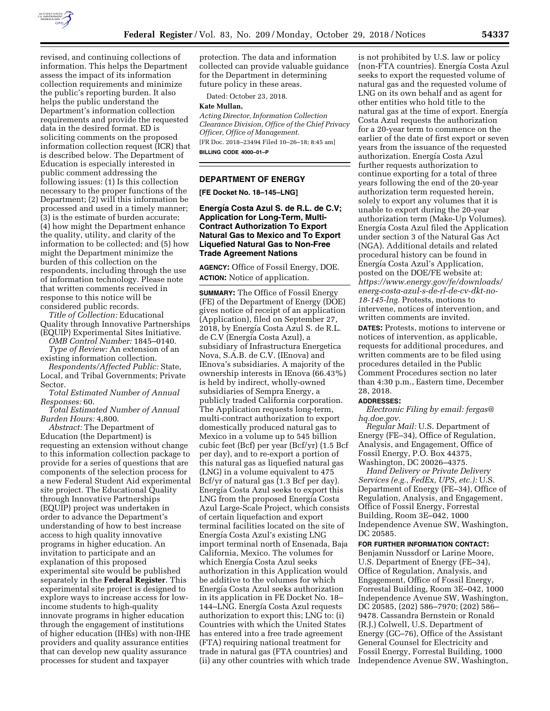

revised, and continuing collections of information. This helps the Department assess the impact of its information collection requirements and minimize the public's reporting burden. It also helps the public understand the Department's information collection requirements and provide the requested data in the desired format. ED is soliciting comments on the proposed information collection request (ICR) that is described below. The Department of Education is especially interested in public comment addressing the following issues: (1) Is this collection necessary to the proper functions of the Department; (2) will this information be processed and used in a timely manner; (3) is the estimate of burden accurate; (4) how might the Department enhance the quality, utility, and clarity of the information to be collected; and (5) how might the Department minimize the burden of this collection on the respondents, including through the use of information technology. Please note that written comments received in response to this notice will be considered public records.

*Title of Collection:* Educational Quality through Innovative Partnerships (EQUIP) Experimental Sites Initiative.

*OMB Control Number:* 1845–0140.

*Type of Review:* An extension of an existing information collection.

*Respondents/Affected Public:* State, Local, and Tribal Governments; Private Sector.

*Total Estimated Number of Annual Responses:* 60.

*Total Estimated Number of Annual Burden Hours:* 4,800.

*Abstract:* The Department of Education (the Department) is requesting an extension without change to this information collection package to provide for a series of questions that are components of the selection process for a new Federal Student Aid experimental site project. The Educational Quality through Innovative Partnerships (EQUIP) project was undertaken in order to advance the Department's understanding of how to best increase access to high quality innovative programs in higher education. An invitation to participate and an explanation of this proposed experimental site would be published separately in the **Federal Register**. This experimental site project is designed to explore ways to increase access for lowincome students to high-quality innovate programs in higher education through the engagement of institutions of higher education (IHEs) with non-IHE providers and quality assurance entities that can develop new quality assurance processes for student and taxpayer

protection. The data and information collected can provide valuable guidance for the Department in determining future policy in these areas.

Dated: October 23, 2018.

### **Kate Mullan,**

*Acting Director, Information Collection Clearance Division, Office of the Chief Privacy Officer, Office of Management.*  [FR Doc. 2018–23494 Filed 10–26–18; 8:45 am]

**BILLING CODE 4000–01–P** 

### **DEPARTMENT OF ENERGY**

**[FE Docket No. 18–145–LNG]** 

### Energía Costa Azul S. de R.L. de C.V; **Application for Long-Term, Multi-Contract Authorization To Export Natural Gas to Mexico and To Export Liquefied Natural Gas to Non-Free Trade Agreement Nations**

**AGENCY:** Office of Fossil Energy, DOE. **ACTION:** Notice of application.

**SUMMARY:** The Office of Fossil Energy (FE) of the Department of Energy (DOE) gives notice of receipt of an application (Application), filed on September 27, 2018, by Energía Costa Azul S. de R.L. de C.V (Energía Costa Azul), a subsidiary of Infrastructura Energetica Nova, S.A.B. de C.V. (IEnova) and IEnova's subsidiaries. A majority of the ownership interests in IEnova (66.43%) is held by indirect, wholly-owned subsidiaries of Sempra Energy, a publicly traded California corporation. The Application requests long-term, multi-contract authorization to export domestically produced natural gas to Mexico in a volume up to 545 billion cubic feet (Bcf) per year (Bcf/yr) (1.5 Bcf per day), and to re-export a portion of this natural gas as liquefied natural gas (LNG) in a volume equivalent to 475 Bcf/yr of natural gas (1.3 Bcf per day). Energía Costa Azul seeks to export this LNG from the proposed Energía Costa Azul Large-Scale Project, which consists of certain liquefaction and export terminal facilities located on the site of Energía Costa Azul's existing LNG import terminal north of Ensenada, Baja California, Mexico. The volumes for which Energía Costa Azul seeks authorization in this Application would be additive to the volumes for which Energı´a Costa Azul seeks authorization in its application in FE Docket No. 18– 144–LNG. Energía Costa Azul requests authorization to export this; LNG to: (i) Countries with which the United States has entered into a free trade agreement (FTA) requiring national treatment for trade in natural gas (FTA countries) and (ii) any other countries with which trade is not prohibited by U.S. law or policy (non-FTA countries). Energía Costa Azul seeks to export the requested volume of natural gas and the requested volume of LNG on its own behalf and as agent for other entities who hold title to the natural gas at the time of export. Energía Costa Azul requests the authorization for a 20-year term to commence on the earlier of the date of first export or seven years from the issuance of the requested authorization. Energía Costa Azul further requests authorization to continue exporting for a total of three years following the end of the 20-year authorization term requested herein, solely to export any volumes that it is unable to export during the 20-year authorization term (Make-Up Volumes). Energía Costa Azul filed the Application under section 3 of the Natural Gas Act (NGA). Additional details and related procedural history can be found in Energía Costa Azul's Application, posted on the DOE/FE website at: *[https://www.energy.gov/fe/downloads/](https://www.energy.gov/fe/downloads/energ-costa-azul-s-de-rl-de-cv-dkt-no-18-145-lng)  [energ-costa-azul-s-de-rl-de-cv-dkt-no-](https://www.energy.gov/fe/downloads/energ-costa-azul-s-de-rl-de-cv-dkt-no-18-145-lng)[18-145-lng.](https://www.energy.gov/fe/downloads/energ-costa-azul-s-de-rl-de-cv-dkt-no-18-145-lng)* Protests, motions to intervene, notices of intervention, and written comments are invited.

**DATES:** Protests, motions to intervene or notices of intervention, as applicable, requests for additional procedures, and written comments are to be filed using procedures detailed in the Public Comment Procedures section no later than 4:30 p.m., Eastern time, December 28, 2018.

#### **ADDRESSES:**

*Electronic Filing by email: [fergas@](mailto:fergas@hq.doe.gov) [hq.doe.gov.](mailto:fergas@hq.doe.gov)* 

*Regular Mail:* U.S. Department of Energy (FE–34), Office of Regulation, Analysis, and Engagement, Office of Fossil Energy, P.O. Box 44375, Washington, DC 20026–4375.

*Hand Delivery or Private Delivery Services (e.g., FedEx, UPS, etc.):* U.S. Department of Energy (FE–34), Office of Regulation, Analysis, and Engagement, Office of Fossil Energy, Forrestal Building, Room 3E–042, 1000 Independence Avenue SW, Washington, DC 20585.

# **FOR FURTHER INFORMATION CONTACT:**

Benjamin Nussdorf or Larine Moore, U.S. Department of Energy (FE–34), Office of Regulation, Analysis, and Engagement, Office of Fossil Energy, Forrestal Building, Room 3E–042, 1000 Independence Avenue SW, Washington, DC 20585, (202) 586–7970; (202) 586– 9478. Cassandra Bernstein or Ronald (R.J.) Colwell, U.S. Department of Energy (GC–76), Office of the Assistant General Counsel for Electricity and Fossil Energy, Forrestal Building, 1000 Independence Avenue SW, Washington,